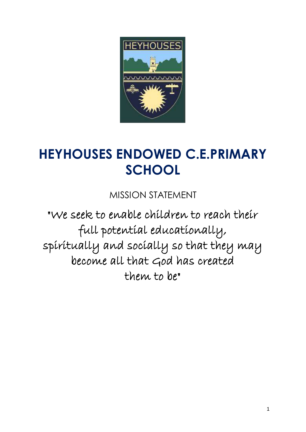

# **HEYHOUSES ENDOWED C.E.PRIMARY SCHOOL**

MISSION STATEMENT

"We seek to enable children to reach their full potential educationally, spiritually and socially so that they may become all that God has created them to be"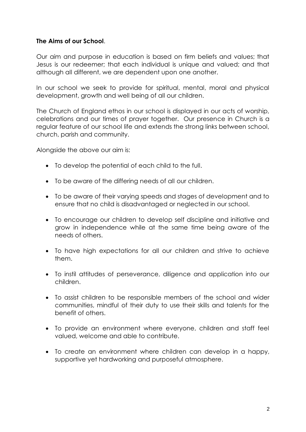#### **The Aims of our School**.

Our aim and purpose in education is based on firm beliefs and values; that Jesus is our redeemer; that each individual is unique and valued; and that although all different, we are dependent upon one another.

In our school we seek to provide for spiritual, mental, moral and physical development, growth and well being of all our children.

The Church of England ethos in our school is displayed in our acts of worship, celebrations and our times of prayer together. Our presence in Church is a regular feature of our school life and extends the strong links between school, church, parish and community.

Alongside the above our aim is:

- To develop the potential of each child to the full.
- To be aware of the differing needs of all our children.
- To be aware of their varying speeds and stages of development and to ensure that no child is disadvantaged or neglected in our school.
- To encourage our children to develop self discipline and initiative and grow in independence while at the same time being aware of the needs of others.
- To have high expectations for all our children and strive to achieve them.
- To instil attitudes of perseverance, diligence and application into our children.
- To assist children to be responsible members of the school and wider communities, mindful of their duty to use their skills and talents for the benefit of others.
- To provide an environment where everyone, children and staff feel valued, welcome and able to contribute.
- To create an environment where children can develop in a happy, supportive yet hardworking and purposeful atmosphere.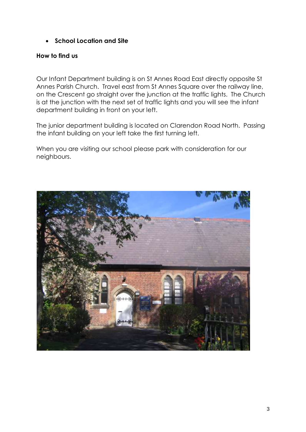**School Location and Site** 

#### **How to find us**

Our Infant Department building is on St Annes Road East directly opposite St Annes Parish Church. Travel east from St Annes Square over the railway line, on the Crescent go straight over the junction at the traffic lights. The Church is at the junction with the next set of traffic lights and you will see the infant department building in front on your left.

The junior department building is located on Clarendon Road North. Passing the infant building on your left take the first turning left.

When you are visiting our school please park with consideration for our neighbours.

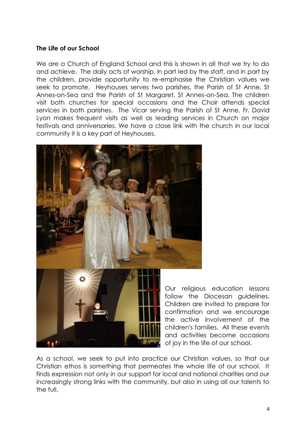#### **The Life of our School**

We are a Church of England School and this is shown in all that we try to do and achieve. The daily acts of worship, in part led by the staff, and in part by the children, provide opportunity to re-emphasise the Christian values we seek to promote. Heyhouses serves two parishes, the Parish of St Anne, St Annes-on-Sea and the Parish of St Margaret, St Annes-on-Sea. The children visit both churches for special occasions and the Choir attends special services in both parishes. The Vicar serving the Parish of St Anne, Fr. David Lyon makes frequent visits as well as leading services in Church on major festivals and anniversaries. We have a close link with the church in our local community it is a key part of Heyhouses.



Our religious education lessons follow the Diocesan guidelines. Children are invited to prepare for confirmation and we encourage the active involvement of the children's families. All these events and activities become occasions of joy in the life of our school.

As a school, we seek to put into practice our Christian values, so that our Christian ethos is something that permeates the whole life of our school. It finds expression not only in our support for local and national charities and our increasingly strong links with the community, but also in using all our talents to the full.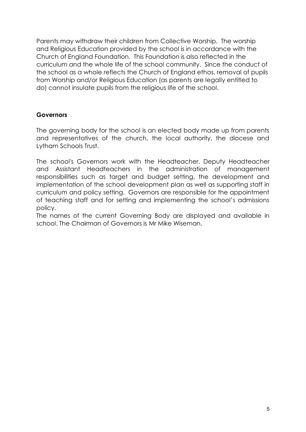Parents may withdraw their children from Collective Worship. The worship and Religious Education provided by the school is in accordance with the Church of England Foundation. This Foundation is also reflected in the curriculum and the whole life of the school community. Since the conduct of the school as a whole reflects the Church of England ethos, removal of pupils from Worship and/or Religious Education (as parents are legally entitled to do) cannot insulate pupils from the religious life of the school.

#### **Governors**

The governing body for the school is an elected body made up from parents and representatives of the church, the local authority, the diocese and Lytham Schools Trust.

The school's Governors work with the Headteacher, Deputy Headteacher and Assistant Headteachers in the administration of management responsibilities such as target and budget setting, the development and implementation of the school development plan as well as supporting staff in curriculum and policy setting. Governors are responsible for the appointment of teaching staff and for setting and implementing the school's admissions policy.

The names of the current Governing Body are displayed and available in school. The Chairman of Governors is Mr Mike Wiseman.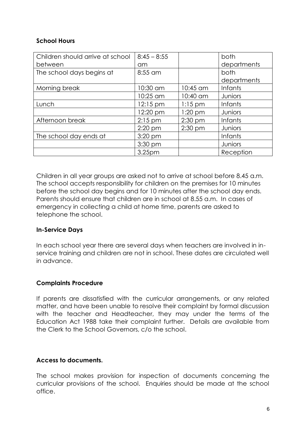#### **School Hours**

| Children should arrive at school | $8:45 - 8:55$      |           | both           |
|----------------------------------|--------------------|-----------|----------------|
| between                          | am                 |           | departments    |
| The school days begins at        | 8:55 am            |           | both           |
|                                  |                    |           | departments    |
| Morning break                    | 10:30 am           | 10:45 am  | <b>Infants</b> |
|                                  | 10:25 am           | 10:40 am  | Juniors        |
| Lunch                            | $12:15 \text{ pm}$ | $1:15$ pm | <b>Infants</b> |
|                                  | 12:20 pm           | $1:20$ pm | Juniors        |
| Afternoon break                  | $2:15$ pm          | $2:30$ pm | <b>Infants</b> |
|                                  | $2:20$ pm          | $2:30$ pm | Juniors        |
| The school day ends at           | $3:20$ pm          |           | <b>Infants</b> |
|                                  | 3:30 pm            |           | Juniors        |
|                                  | 3.25pm             |           | Reception      |

Children in all year groups are asked not to arrive at school before 8.45 a.m. The school accepts responsibility for children on the premises for 10 minutes before the school day begins and for 10 minutes after the school day ends. Parents should ensure that children are in school at 8.55 a.m. In cases of emergency in collecting a child at home time, parents are asked to telephone the school.

#### **In-Service Days**

In each school year there are several days when teachers are involved in inservice training and children are not in school. These dates are circulated well in advance.

#### **Complaints Procedure**

If parents are dissatisfied with the curricular arrangements, or any related matter, and have been unable to resolve their complaint by formal discussion with the teacher and Headteacher, they may under the terms of the Education Act 1988 take their complaint further. Details are available from the Clerk to the School Governors, c/o the school.

#### **Access to documents.**

The school makes provision for inspection of documents concerning the curricular provisions of the school. Enquiries should be made at the school office.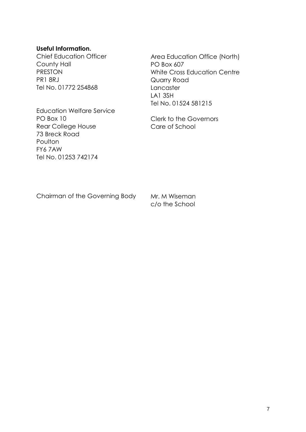#### **Useful Information.**

Chief Education Officer County Hall PRESTON PR1 8RJ Tel No. 01772 254868

Area Education Office (North) PO Box 607 White Cross Education Centre Quarry Road **Lancaster** LA1 3SH Tel No. 01524 581215

Education Welfare Service PO Box 10 Rear College House 73 Breck Road Poulton FY6 7AW Tel No. 01253 742174

Clerk to the Governors Care of School

Chairman of the Governing Body

Mr. M Wiseman c/o the School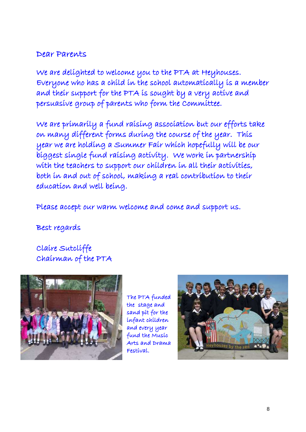# Dear Parents

We are delighted to welcome you to the PTA at Heyhouses. Everyone who has a child in the school automatically is a member and their support for the PTA is sought by a very active and persuasive group of parents who form the Committee.

We are primarily a fund raising association but our efforts take on many different forms during the course of the year. This year we are holding a Summer Fair which hopefully will be our biggest single fund raising activity. We work in partnership with the teachers to support our children in all their activities, both in and out of school, making a real contribution to their education and well being.

Please accept our warm welcome and come and support us.

Best regards

Claire Sutcliffe Chairman of the PTA



The PTA funded the stage and sand pit for the infant children and every year fund the Music Arts and Drama Festival.

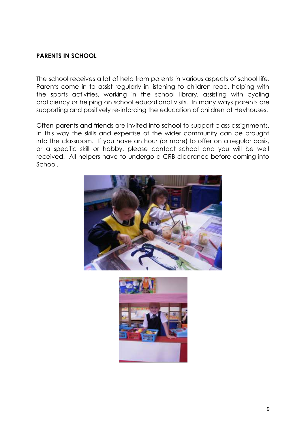#### **PARENTS IN SCHOOL**

The school receives a lot of help from parents in various aspects of school life. Parents come in to assist regularly in listening to children read, helping with the sports activities, working in the school library, assisting with cycling proficiency or helping on school educational visits. In many ways parents are supporting and positively re-inforcing the education of children at Heyhouses.

Often parents and friends are invited into school to support class assignments. In this way the skills and expertise of the wider community can be brought into the classroom. If you have an hour (or more) to offer on a regular basis, or a specific skill or hobby, please contact school and you will be well received. All helpers have to undergo a CRB clearance before coming into School.



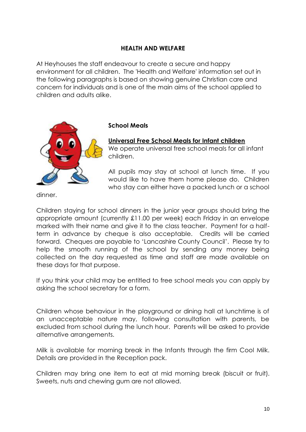#### **HEALTH AND WELFARE**

At Heyhouses the staff endeavour to create a secure and happy environment for all children. The 'Health and Welfare' information set out in the following paragraphs is based on showing genuine Christian care and concern for individuals and is one of the main aims of the school applied to children and adults alike.



#### **School Meals**

# **Universal Free School Meals for Infant children**

We operate universal free school meals for all infant children.

All pupils may stay at school at lunch time. If you would like to have them home please do. Children who stay can either have a packed lunch or a school

dinner.

Children staying for school dinners in the junior year groups should bring the appropriate amount (currently £11.00 per week) each Friday in an envelope marked with their name and give it to the class teacher. Payment for a halfterm in advance by cheque is also acceptable. Credits will be carried forward. Cheques are payable to 'Lancashire County Council'. Please try to help the smooth running of the school by sending any money being collected on the day requested as time and staff are made available on these days for that purpose.

If you think your child may be entitled to free school meals you can apply by asking the school secretary for a form.

Children whose behaviour in the playground or dining hall at lunchtime is of an unacceptable nature may, following consultation with parents, be excluded from school during the lunch hour. Parents will be asked to provide alternative arrangements.

Milk is available for morning break in the Infants through the firm Cool Milk. Details are provided in the Reception pack.

Children may bring one item to eat at mid morning break (biscuit or fruit). Sweets, nuts and chewing gum are not allowed.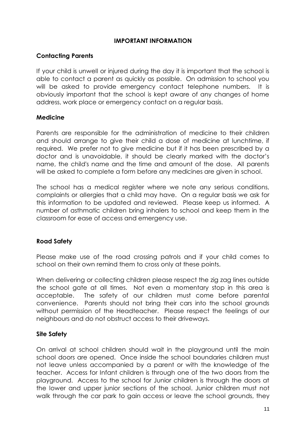#### **IMPORTANT INFORMATION**

#### **Contacting Parents**

If your child is unwell or injured during the day it is important that the school is able to contact a parent as quickly as possible. On admission to school you will be asked to provide emergency contact telephone numbers. It is obviously important that the school is kept aware of any changes of home address, work place or emergency contact on a regular basis.

#### **Medicine**

Parents are responsible for the administration of medicine to their children and should arrange to give their child a dose of medicine at lunchtime, if required. We prefer not to give medicine but if it has been prescribed by a doctor and is unavoidable, it should be clearly marked with the doctor's name, the child's name and the time and amount of the dose. All parents will be asked to complete a form before any medicines are given in school.

The school has a medical register where we note any serious conditions, complaints or allergies that a child may have. On a regular basis we ask for this information to be updated and reviewed. Please keep us informed. A number of asthmatic children bring inhalers to school and keep them in the classroom for ease of access and emergency use.

#### **Road Safety**

Please make use of the road crossing patrols and if your child comes to school on their own remind them to cross only at these points.

When delivering or collecting children please respect the zig zag lines outside the school gate at all times. Not even a momentary stop in this area is acceptable. The safety of our children must come before parental convenience. Parents should not bring their cars into the school grounds without permission of the Headteacher. Please respect the feelings of our neighbours and do not obstruct access to their driveways.

#### **Site Safety**

On arrival at school children should wait in the playground until the main school doors are opened. Once inside the school boundaries children must not leave unless accompanied by a parent or with the knowledge of the teacher. Access for Infant children is through one of the two doors from the playground. Access to the school for Junior children is through the doors at the lower and upper junior sections of the school. Junior children must not walk through the car park to gain access or leave the school grounds, they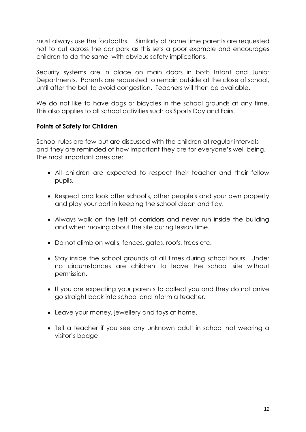must always use the footpaths. Similarly at home time parents are requested not to cut across the car park as this sets a poor example and encourages children to do the same, with obvious safety implications.

Security systems are in place on main doors in both Infant and Junior Departments. Parents are requested to remain outside at the close of school, until after the bell to avoid congestion. Teachers will then be available.

We do not like to have dogs or bicycles in the school grounds at any time. This also applies to all school activities such as Sports Day and Fairs.

#### **Points of Safety for Children**

School rules are few but are discussed with the children at regular intervals and they are reminded of how important they are for everyone's well being. The most important ones are:

- All children are expected to respect their teacher and their fellow pupils.
- Respect and look after school's, other people's and your own property and play your part in keeping the school clean and tidy.
- Always walk on the left of corridors and never run inside the building and when moving about the site during lesson time.
- Do not climb on walls, fences, gates, roofs, trees etc.
- Stay inside the school grounds at all times during school hours. Under no circumstances are children to leave the school site without permission.
- If you are expecting your parents to collect you and they do not arrive go straight back into school and inform a teacher.
- Leave your money, jewellery and toys at home.
- Tell a teacher if you see any unknown adult in school not wearing a visitor's badge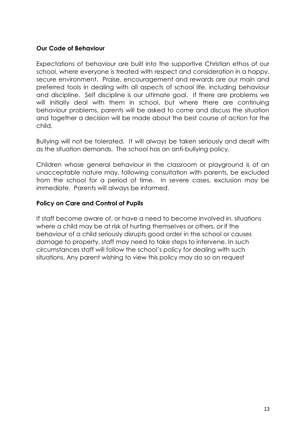#### **Our Code of Behaviour**

Expectations of behaviour are built into the supportive Christian ethos of our school, where everyone is treated with respect and consideration in a happy, secure environment. Praise, encouragement and rewards are our main and preferred tools in dealing with all aspects of school life, including behaviour and discipline. Self discipline is our ultimate goal. If there are problems we will initially deal with them in school, but where there are continuing behaviour problems, parents will be asked to come and discuss the situation and together a decision will be made about the best course of action for the child.

Bullying will not be tolerated. It will always be taken seriously and dealt with as the situation demands. The school has an anti-bullying policy.

Children whose general behaviour in the classroom or playground is of an unacceptable nature may, following consultation with parents, be excluded from the school for a period of time. In severe cases, exclusion may be immediate. Parents will always be informed.

#### **Policy on Care and Control of Pupils**

If staff become aware of, or have a need to become involved in, situations where a child may be at risk of hurting themselves or others, or if the behaviour of a child seriously disrupts good order in the school or causes damage to property, staff may need to take steps to intervene. In such circumstances staff will follow the school's policy for dealing with such situations. Any parent wishing to view this policy may do so on request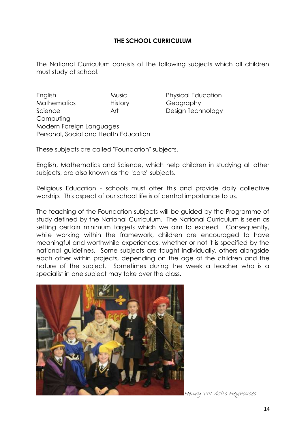#### **THE SCHOOL CURRICULUM**

The National Curriculum consists of the following subjects which all children must study at school.

English Music Physical Education Mathematics History Geography Science **Art** Design Technology **Computing** Modern Foreign Languages Personal, Social and Health Education

These subjects are called "Foundation" subjects.

English, Mathematics and Science, which help children in studying all other subjects, are also known as the "core" subjects.

Religious Education - schools must offer this and provide daily collective worship. This aspect of our school life is of central importance to us.

The teaching of the Foundation subjects will be guided by the Programme of study defined by the National Curriculum. The National Curriculum is seen as setting certain minimum targets which we aim to exceed. Consequently, while working within the framework, children are encouraged to have meaningful and worthwhile experiences, whether or not it is specified by the national guidelines. Some subjects are taught individually, others alongside each other within projects, depending on the age of the children and the nature of the subject. Sometimes during the week a teacher who is a specialist in one subject may take over the class.



Henry VIII visits Heyhouses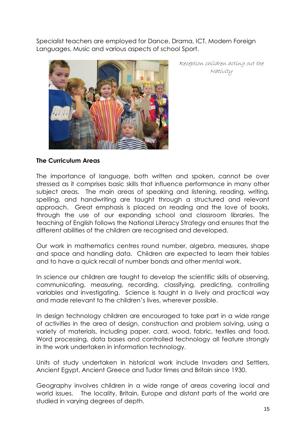Specialist teachers are employed for Dance, Drama, ICT, Modern Foreign Languages, Music and various aspects of school Sport.



Reception children acting out the Nativity

#### **The Curriculum Areas**

The importance of language, both written and spoken, cannot be over stressed as it comprises basic skills that influence performance in many other subject areas. The main areas of speaking and listening, reading, writing, spelling, and handwriting are taught through a structured and relevant approach. Great emphasis is placed on reading and the love of books, through the use of our expanding school and classroom libraries. The teaching of English follows the National Literacy Strategy and ensures that the different abilities of the children are recognised and developed.

Our work in mathematics centres round number, algebra, measures, shape and space and handling data. Children are expected to learn their tables and to have a quick recall of number bonds and other mental work.

In science our children are taught to develop the scientific skills of observing, communicating, measuring, recording, classifying, predicting, controlling variables and investigating. Science is taught in a lively and practical way and made relevant to the children's lives, wherever possible.

In design technology children are encouraged to take part in a wide range of activities in the area of design, construction and problem solving, using a variety of materials, including paper, card, wood, fabric, textiles and food. Word processing, data bases and controlled technology all feature strongly in the work undertaken in information technology.

Units of study undertaken in historical work include Invaders and Settlers, Ancient Egypt, Ancient Greece and Tudor times and Britain since 1930.

Geography involves children in a wide range of areas covering local and world issues. The locality, Britain, Europe and distant parts of the world are studied in varying degrees of depth.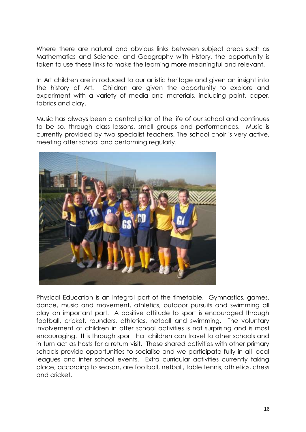Where there are natural and obvious links between subject areas such as Mathematics and Science, and Geography with History, the opportunity is taken to use these links to make the learning more meaningful and relevant.

In Art children are introduced to our artistic heritage and given an insight into the history of Art. Children are given the opportunity to explore and experiment with a variety of media and materials, including paint, paper, fabrics and clay.

Music has always been a central pillar of the life of our school and continues to be so, through class lessons, small groups and performances. Music is currently provided by two specialist teachers. The school choir is very active, meeting after school and performing regularly.



Physical Education is an integral part of the timetable. Gymnastics, games, dance, music and movement, athletics, outdoor pursuits and swimming all play an important part. A positive attitude to sport is encouraged through football, cricket, rounders, athletics, netball and swimming. The voluntary involvement of children in after school activities is not surprising and is most encouraging. It is through sport that children can travel to other schools and in turn act as hosts for a return visit. These shared activities with other primary schools provide opportunities to socialise and we participate fully in all local leagues and inter school events. Extra curricular activities currently taking place, according to season, are football, netball, table tennis, athletics, chess and cricket.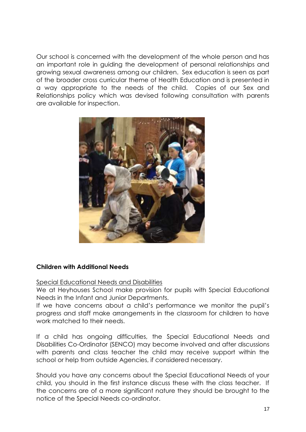Our school is concerned with the development of the whole person and has an important role in guiding the development of personal relationships and growing sexual awareness among our children. Sex education is seen as part of the broader cross curricular theme of Health Education and is presented in a way appropriate to the needs of the child. Copies of our Sex and Relationships policy which was devised following consultation with parents are available for inspection.



#### **Children with Additional Needs**

Special Educational Needs and Disabilities

We at Heyhouses School make provision for pupils with Special Educational Needs in the Infant and Junior Departments.

If we have concerns about a child's performance we monitor the pupil's progress and staff make arrangements in the classroom for children to have work matched to their needs.

If a child has ongoing difficulties, the Special Educational Needs and Disabilities Co-Ordinator (SENCO) may become involved and after discussions with parents and class teacher the child may receive support within the school or help from outside Agencies, if considered necessary.

Should you have any concerns about the Special Educational Needs of your child, you should in the first instance discuss these with the class teacher. If the concerns are of a more significant nature they should be brought to the notice of the Special Needs co-ordinator.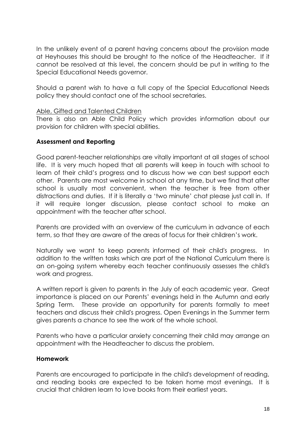In the unlikely event of a parent having concerns about the provision made at Heyhouses this should be brought to the notice of the Headteacher. If it cannot be resolved at this level, the concern should be put in writing to the Special Educational Needs governor.

Should a parent wish to have a full copy of the Special Educational Needs policy they should contact one of the school secretaries.

#### Able, Gifted and Talented Children

There is also an Able Child Policy which provides information about our provision for children with special abilities.

#### **Assessment and Reporting**

Good parent-teacher relationships are vitally important at all stages of school life. It is very much hoped that all parents will keep in touch with school to learn of their child's progress and to discuss how we can best support each other. Parents are most welcome in school at any time, but we find that after school is usually most convenient, when the teacher is free from other distractions and duties. If it is literally a 'two minute' chat please just call in. If it will require longer discussion, please contact school to make an appointment with the teacher after school.

Parents are provided with an overview of the curriculum in advance of each term, so that they are aware of the areas of focus for their children's work.

Naturally we want to keep parents informed of their child's progress. In addition to the written tasks which are part of the National Curriculum there is an on-going system whereby each teacher continuously assesses the child's work and progress.

A written report is given to parents in the July of each academic year. Great importance is placed on our Parents' evenings held in the Autumn and early Spring Term. These provide an opportunity for parents formally to meet teachers and discuss their child's progress. Open Evenings in the Summer term gives parents a chance to see the work of the whole school.

Parents who have a particular anxiety concerning their child may arrange an appointment with the Headteacher to discuss the problem.

#### **Homework**

Parents are encouraged to participate in the child's development of reading, and reading books are expected to be taken home most evenings. It is crucial that children learn to love books from their earliest years.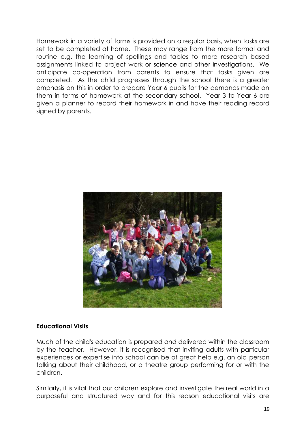Homework in a variety of forms is provided on a regular basis, when tasks are set to be completed at home. These may range from the more formal and routine e.g. the learning of spellings and tables to more research based assignments linked to project work or science and other investigations. We anticipate co-operation from parents to ensure that tasks given are completed. As the child progresses through the school there is a greater emphasis on this in order to prepare Year 6 pupils for the demands made on them in terms of homework at the secondary school. Year 3 to Year 6 are given a planner to record their homework in and have their reading record signed by parents.



#### **Educational Visits**

Much of the child's education is prepared and delivered within the classroom by the teacher. However, it is recognised that inviting adults with particular experiences or expertise into school can be of great help e.g. an old person talking about their childhood, or a theatre group performing for or with the children.

Similarly, it is vital that our children explore and investigate the real world in a purposeful and structured way and for this reason educational visits are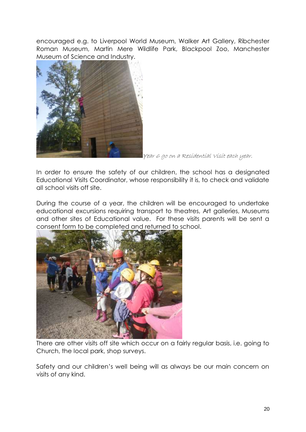encouraged e.g. to Liverpool World Museum, Walker Art Gallery, Ribchester Roman Museum, Martin Mere Wildlife Park, Blackpool Zoo, Manchester Museum of Science and Industry.



Year 6 go on a Residential Visit each year.

In order to ensure the safety of our children, the school has a designated Educational Visits Coordinator, whose responsibility it is, to check and validate all school visits off site.

During the course of a year, the children will be encouraged to undertake educational excursions requiring transport to theatres, Art galleries, Museums and other sites of Educational value. For these visits parents will be sent a consent form to be completed and returned to school.



There are other visits off site which occur on a fairly regular basis, i.e. going to Church, the local park, shop surveys.

Safety and our children's well being will as always be our main concern on visits of any kind.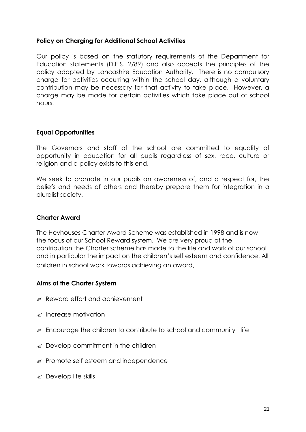#### **Policy on Charging for Additional School Activities**

Our policy is based on the statutory requirements of the Department for Education statements (D.E.S. 2/89) and also accepts the principles of the policy adopted by Lancashire Education Authority. There is no compulsory charge for activities occurring within the school day, although a voluntary contribution may be necessary for that activity to take place. However, a charge may be made for certain activities which take place out of school hours.

#### **Equal Opportunities**

The Governors and staff of the school are committed to equality of opportunity in education for all pupils regardless of sex, race, culture or religion and a policy exists to this end.

We seek to promote in our pupils an awareness of, and a respect for, the beliefs and needs of others and thereby prepare them for integration in a pluralist society.

#### **Charter Award**

The Heyhouses Charter Award Scheme was established in 1998 and is now the focus of our School Reward system. We are very proud of the contribution the Charter scheme has made to the life and work of our school and in particular the impact on the children's self esteem and confidence. All children in school work towards achieving an award.

#### **Aims of the Charter System**

- $\mathscr{\mathscr{A}}$  Reward effort and achievement
- $\mathscr{\mathscr{E}}$  Increase motivation
- $\epsilon$  Encourage the children to contribute to school and community life
- $\mathscr{A}$  Develop commitment in the children
- $\mathscr{L}$  Promote self esteem and independence
- $\mathscr{\mathscr{E}}$  Develop life skills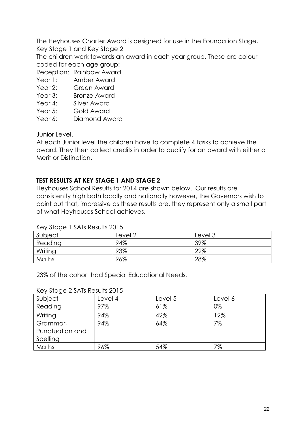The Heyhouses Charter Award is designed for use in the Foundation Stage, Key Stage 1 and Key Stage 2

The children work towards an award in each year group. These are colour coded for each age group:

Reception: Rainbow Award

- Year 1: Amber Award
- Year 2: Green Award
- Year 3: Bronze Award
- Year 4: Silver Award
- Year 5: Gold Award
- Year 6: Diamond Award

Junior Level.

At each Junior level the children have to complete 4 tasks to achieve the award. They then collect credits in order to qualify for an award with either a Merit or Distinction.

#### **TEST RESULTS AT KEY STAGE 1 AND STAGE 2**

Heyhouses School Results for 2014 are shown below. Our results are consistently high both locally and nationally however, the Governors wish to point out that, impressive as these results are, they represent only a small part of what Heyhouses School achieves.

| <b>A REPORT OF THE REPORT OF THE REPORT</b> |         |         |  |  |
|---------------------------------------------|---------|---------|--|--|
| Subject                                     | Level 2 | Level 3 |  |  |
| Reading                                     | 94%     | 39%     |  |  |
| Writing                                     | 93%     | 22%     |  |  |
| Maths                                       | 96%     | 28%     |  |  |

Key Stage 1 SATs Results 2015

23% of the cohort had Special Educational Needs.

#### Key Stage 2 SATs Results 2015

| Subject         | Level 4 | Level 5 | Level 6 |
|-----------------|---------|---------|---------|
| Reading         | 97%     | 61%     | 0%      |
| Writing         | 94%     | 42%     | 12%     |
| Grammar,        | 94%     | 64%     | 7%      |
| Punctuation and |         |         |         |
| Spelling        |         |         |         |
| <b>Maths</b>    | 96%     | 54%     | 7%      |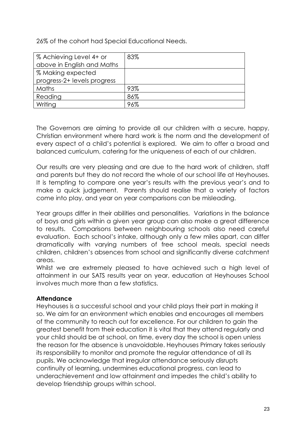26% of the cohort had Special Educational Needs.

| % Achieving Level 4+ or     | 83% |
|-----------------------------|-----|
| above in English and Maths  |     |
| % Making expected           |     |
| progress-2+ levels progress |     |
| Maths                       | 93% |
| Reading                     | 86% |
| Writing                     | 96% |
|                             |     |

The Governors are aiming to provide all our children with a secure, happy, Christian environment where hard work is the norm and the development of every aspect of a child's potential is explored. We aim to offer a broad and balanced curriculum, catering for the uniqueness of each of our children.

Our results are very pleasing and are due to the hard work of children, staff and parents but they do not record the whole of our school life at Heyhouses. It is tempting to compare one year's results with the previous year's and to make a quick judgement. Parents should realise that a variety of factors come into play, and year on year comparisons can be misleading.

Year groups differ in their abilities and personalities. Variations in the balance of boys and girls within a given year group can also make a great difference to results. Comparisons between neighbouring schools also need careful evaluation. Each school's intake, although only a few miles apart, can differ dramatically with varying numbers of free school meals, special needs children, children's absences from school and significantly diverse catchment areas.

Whilst we are extremely pleased to have achieved such a high level of attainment in our SATS results year on year, education at Heyhouses School involves much more than a few statistics.

#### **Attendance**

Heyhouses is a successful school and your child plays their part in making it so. We aim for an environment which enables and encourages all members of the community to reach out for excellence. For our children to gain the greatest benefit from their education it is vital that they attend regularly and your child should be at school, on time, every day the school is open unless the reason for the absence is unavoidable. Heyhouses Primary takes seriously its responsibility to monitor and promote the regular attendance of all its pupils. We acknowledge that irregular attendance seriously disrupts continuity of learning, undermines educational progress, can lead to underachievement and low attainment and impedes the child's ability to develop friendship groups within school.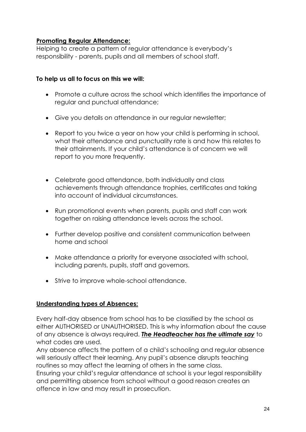#### **Promoting Regular Attendance:**

Helping to create a pattern of regular attendance is everybody's responsibility - parents, pupils and all members of school staff.

#### **To help us all to focus on this we will:**

- Promote a culture across the school which identifies the importance of regular and punctual attendance;
- Give you details on attendance in our regular newsletter;
- Report to you twice a year on how your child is performing in school, what their attendance and punctuality rate is and how this relates to their attainments. If your child's attendance is of concern we will report to you more frequently.
- Celebrate good attendance, both individually and class achievements through attendance trophies, certificates and taking into account of individual circumstances.
- Run promotional events when parents, pupils and staff can work together on raising attendance levels across the school.
- Further develop positive and consistent communication between home and school
- Make attendance a priority for everyone associated with school, including parents, pupils, staff and governors.
- Strive to improve whole-school attendance.

#### **Understanding types of Absences:**

Every half-day absence from school has to be classified by the school as either AUTHORISED or UNAUTHORISED. This is why information about the cause of any absence is always required. *The Headteacher has the ultimate say* to what codes are used.

Any absence affects the pattern of a child's schooling and regular absence will seriously affect their learning. Any pupil's absence disrupts teaching routines so may affect the learning of others in the same class.

Ensuring your child's regular attendance at school is your legal responsibility and permitting absence from school without a good reason creates an offence in law and may result in prosecution.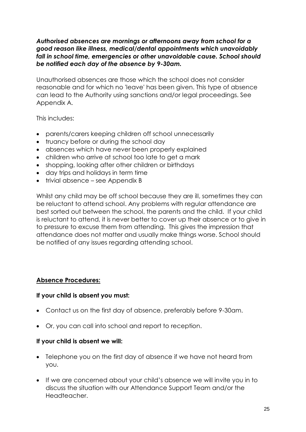#### *Authorised absences are mornings or afternoons away from school for a good reason like illness, medical/dental appointments which unavoidably fall in school time, emergencies or other unavoidable cause. School should be notified each day of the absence by 9-30am.*

Unauthorised absences are those which the school does not consider reasonable and for which no 'leave' has been given. This type of absence can lead to the Authority using sanctions and/or legal proceedings. See Appendix A.

This includes:

- parents/carers keeping children off school unnecessarily
- truancy before or during the school day
- absences which have never been properly explained
- children who arrive at school too late to get a mark
- shopping, looking after other children or birthdays
- day trips and holidays in term time
- trivial absence see Appendix B

Whilst any child may be off school because they are ill, sometimes they can be reluctant to attend school. Any problems with regular attendance are best sorted out between the school, the parents and the child. If your child is reluctant to attend, it is never better to cover up their absence or to give in to pressure to excuse them from attending. This gives the impression that attendance does not matter and usually make things worse. School should be notified of any issues regarding attending school.

#### **Absence Procedures:**

#### **If your child is absent you must:**

- Contact us on the first day of absence, preferably before 9-30am.
- Or, you can call into school and report to reception.

#### **If your child is absent we will:**

- Telephone you on the first day of absence if we have not heard from you.
- If we are concerned about your child's absence we will invite you in to discuss the situation with our Attendance Support Team and/or the Headteacher.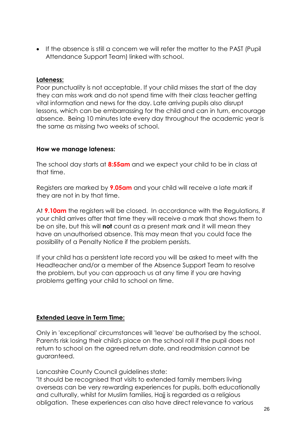If the absence is still a concern we will refer the matter to the PAST (Pupil Attendance Support Team) linked with school.

#### **Lateness:**

Poor punctuality is not acceptable. If your child misses the start of the day they can miss work and do not spend time with their class teacher getting vital information and news for the day. Late arriving pupils also disrupt lessons, which can be embarrassing for the child and can in turn, encourage absence. Being 10 minutes late every day throughout the academic year is the same as missing two weeks of school.

#### **How we manage lateness:**

The school day starts at **8:55am** and we expect your child to be in class at that time.

Registers are marked by **9.05am** and your child will receive a late mark if they are not in by that time.

At **9.10am** the registers will be closed. In accordance with the Regulations, if your child arrives after that time they will receive a mark that shows them to be on site, but this will **not** count as a present mark and it will mean they have an unauthorised absence. This may mean that you could face the possibility of a Penalty Notice if the problem persists.

If your child has a persistent late record you will be asked to meet with the Headteacher and/or a member of the Absence Support Team to resolve the problem, but you can approach us at any time if you are having problems getting your child to school on time.

#### **Extended Leave in Term Time:**

Only in 'exceptional' circumstances will 'leave' be authorised by the school. Parents risk losing their child's place on the school roll if the pupil does not return to school on the agreed return date, and readmission cannot be guaranteed.

Lancashire County Council guidelines state:

"It should be recognised that visits to extended family members living overseas can be very rewarding experiences for pupils, both educationally and culturally, whilst for Muslim families, Hajj is regarded as a religious obligation. These experiences can also have direct relevance to various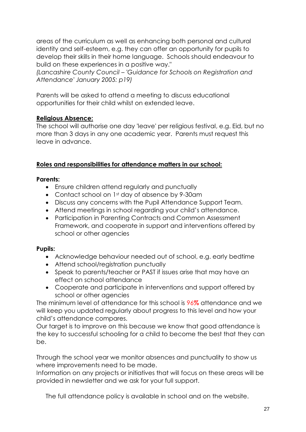areas of the curriculum as well as enhancing both personal and cultural identity and self-esteem, e.g. they can offer an opportunity for pupils to develop their skills in their home language. Schools should endeavour to build on these experiences in a positive way."

*(Lancashire County Council – 'Guidance for Schools on Registration and Attendance' January 2005: p19)*

Parents will be asked to attend a meeting to discuss educational opportunities for their child whilst on extended leave.

# **Religious Absence:**

The school will authorise one day 'leave' per religious festival, e.g. Eid, but no more than 3 days in any one academic year. Parents must request this leave in advance.

# **Roles and responsibilities for attendance matters in our school:**

# **Parents:**

- Ensure children attend regularly and punctually
- Contact school on 1<sup>st</sup> day of absence by 9-30am
- Discuss any concerns with the Pupil Attendance Support Team.
- Attend meetings in school regarding your child's attendance.
- Participation in Parenting Contracts and Common Assessment Framework, and cooperate in support and interventions offered by school or other agencies

# **Pupils:**

- Acknowledge behaviour needed out of school, e.g. early bedtime
- Attend school/registration punctually
- Speak to parents/teacher or PAST if issues arise that may have an effect on school attendance
- Cooperate and participate in interventions and support offered by school or other agencies

The minimum level of attendance for this school is 96**%** attendance and we will keep you updated regularly about progress to this level and how your child's attendance compares.

Our target is to improve on this because we know that good attendance is the key to successful schooling for a child to become the best that they can be.

Through the school year we monitor absences and punctuality to show us where improvements need to be made.

Information on any projects or initiatives that will focus on these areas will be provided in newsletter and we ask for your full support.

The full attendance policy is available in school and on the website.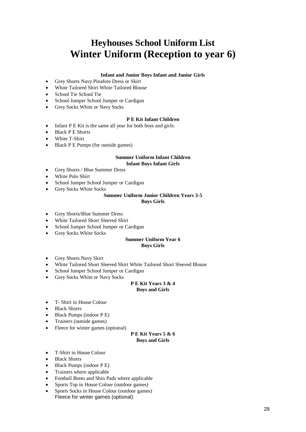# **Heyhouses School Uniform List Winter Uniform (Reception to year 6)**

#### **Infant and Junior Boys Infant and Junior Girls**

- Grey Shorts Navy Pinafore Dress or Skirt
- White Tailored Shirt White Tailored Blouse
- School Tie School Tie
- School Jumper School Jumper or Cardigan
- Grey Socks White or Navy Socks

#### **P E Kit Infant Children**

- Infant P E Kit is the same all year for both boys and girls:
- Black P E Shorts
- White T-Shirt
- Black P E Pumps (for outside games)

#### **Summer Uniform Infant Children Infant Boys Infant Girls**

- Grey Shorts / Blue Summer Dress
- White Polo Shirt
- School Jumper School Jumper or Cardigan
- Grey Socks White Socks

#### **Summer Uniform Junior Children Years 3-5**

#### **Boys Girls**

- Grey Shorts/Blue Summer Dress
- White Tailored Short Sleeved Shirt
- School Jumper School Jumper or Cardigan
- Grey Socks White Socks

#### **Summer Uniform Year 6 Boys Girls**

- Grey Shorts Navy Skirt
- White Tailored Short Sleeved Shirt White Tailored Short Sleeved Blouse
- School Jumper School Jumper or Cardigan
- Grey Socks White or Navy Socks

#### **P E Kit Years 3 & 4 Boys and Girls**

- T- Shirt in House Colour
- Black Shorts
- $\bullet$  Black Pumps (indoor P E)
- Trainers (outside games)
- Fleece for winter games (optional)

#### **P E Kit Years 5 & 6 Boys and Girls**

- T-Shirt in House Colour
- Black Shorts
- $\bullet$  Black Pumps (indoor P E)
- Trainers where applicable
- Football Boots and Shin Pads where applicable
- Sports Top in House Colour (outdoor games)
- Sports Socks in House Colour (outdoor games) Fleece for winter games (optional)